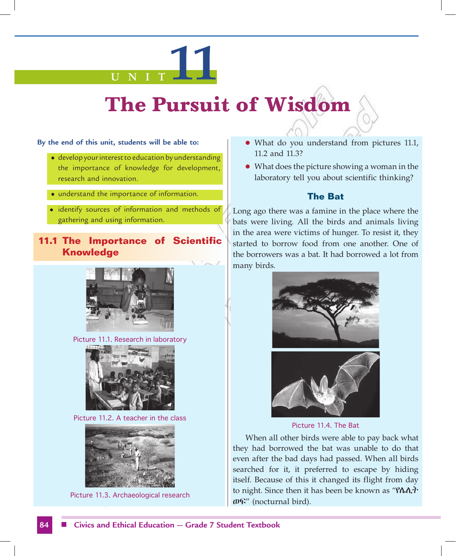# **U N I T 11**

## **The Pursuit of Wisdom**

**By the end of this unit, students will be able to:**

- develop your interest to education by understanding the importance of knowledge for development, research and innovation.
- understand the importance of information.
- identify sources of information and methods of gathering and using information.

#### **11.1 The Importance of Scientific Knowledge**



Picture 11.1. Research in laboratory



Picture 11.2. A teacher in the class



Picture 11.3. Archaeological research

- What do you understand from pictures 11.1, 11.2 and 11.3?
- What does the picture showing a woman in the laboratory tell you about scientific thinking?

#### **The Bat**

Long ago there was a famine in the place where the bats were living. All the birds and animals living in the area were victims of hunger. To resist it, they started to borrow food from one another. One of the borrowers was a bat. It had borrowed a lot from many birds.





Picture 11.4. The Bat

When all other birds were able to pay back what they had borrowed the bat was unable to do that even after the bad days had passed. When all birds searched for it, it preferred to escape by hiding itself. Because of this it changed its flight from day to night. Since then it has been be known as "የሌሊት ወፍ" (nocturnal bird).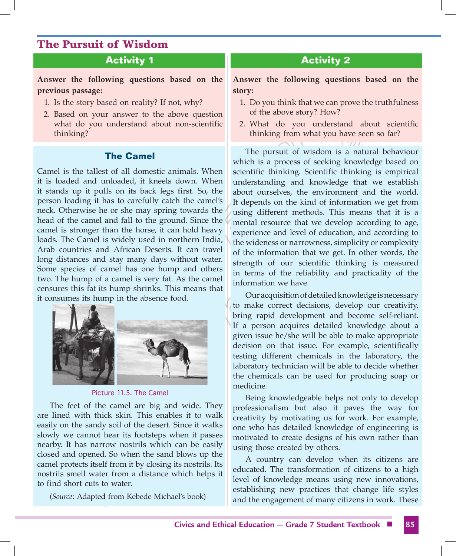#### **Activity 1**

**Answer the following questions based on the previous passage:** 

- 1. Is the story based on reality? If not, why?
- 2. Based on your answer to the above question what do you understand about non-scientific thinking?

#### **The Camel**

Camel is the tallest of all domestic animals. When it is loaded and unloaded, it kneels down. When it stands up it pulls on its back legs first. So, the person loading it has to carefully catch the camel's neck. Otherwise he or she may spring towards the head of the camel and fall to the ground. Since the camel is stronger than the horse, it can hold heavy loads. The Camel is widely used in northern India, Arab countries and African Deserts. It can travel long distances and stay many days without water. Some species of camel has one hump and others two. The hump of a camel is very fat. As the camel censures this fat its hump shrinks. This means that it consumes its hump in the absence food.



Picture 11.5. The Camel

The feet of the camel are big and wide. They are lined with thick skin. This enables it to walk easily on the sandy soil of the desert. Since it walks slowly we cannot hear its footsteps when it passes nearby. It has narrow nostrils which can be easily closed and opened. So when the sand blows up the camel protects itself from it by closing its nostrils. Its nostrils smell water from a distance which helps it to find short cuts to water.

(*Source*: Adapted from Kebede Michael's book)

#### **Activity 2**

**Answer the following questions based on the story:**

- 1. Do you think that we can prove the truthfulness of the above story? How?
- 2. What do you understand about scientific thinking from what you have seen so far?

The pursuit of wisdom is a natural behaviour which is a process of seeking knowledge based on scientific thinking. Scientific thinking is empirical understanding and knowledge that we establish about ourselves, the environment and the world. It depends on the kind of information we get from using different methods. This means that it is a mental resource that we develop according to age, experience and level of education, and according to the wideness or narrowness, simplicity or complexity of the information that we get. In other words, the strength of our scientific thinking is measured in terms of the reliability and practicality of the information we have.

Our acquisition of detailed knowledge is necessary to make correct decisions, develop our creativity, bring rapid development and become self-reliant. If a person acquires detailed knowledge about a given issue he/she will be able to make appropriate decision on that issue. For example, scientifically testing different chemicals in the laboratory, the laboratory technician will be able to decide whether the chemicals can be used for producing soap or medicine.

Being knowledgeable helps not only to develop professionalism but also it paves the way for creativity by motivating us for work. For example, one who has detailed knowledge of engineering is motivated to create designs of his own rather than using those created by others.

A country can develop when its citizens are educated. The transformation of citizens to a high level of knowledge means using new innovations, establishing new practices that change life styles and the engagement of many citizens in work. These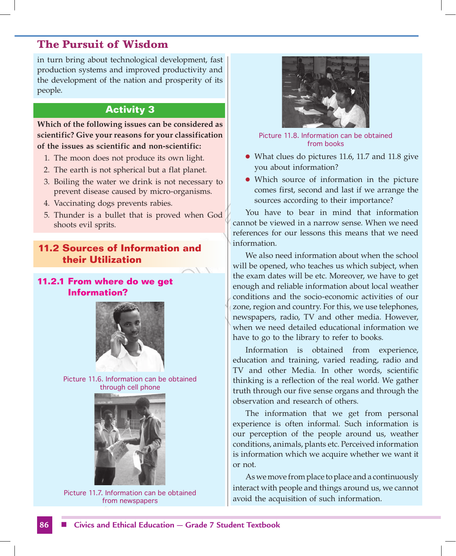in turn bring about technological development, fast production systems and improved productivity and the development of the nation and prosperity of its people.

#### **Activity 3**

**Which of the following issues can be considered as scientific? Give your reasons for your classification of the issues as scientific and non-scientific:**

- 1. The moon does not produce its own light.
- 2. The earth is not spherical but a flat planet.
- 3. Boiling the water we drink is not necessary to prevent disease caused by micro-organisms.
- 4. Vaccinating dogs prevents rabies.
- 5. Thunder is a bullet that is proved when God shoots evil sprits.

#### **11.2 Sources of Information and their Utilization**

#### **11.2.1 From where do we get Information?**







Picture 11.7. Information can be obtained from newspapers



Picture 11.8. Information can be obtained from books

- $\bullet$  What clues do pictures 11.6, 11.7 and 11.8 give you about information?
- Which source of information in the picture comes first, second and last if we arrange the sources according to their importance?

You have to bear in mind that information cannot be viewed in a narrow sense. When we need references for our lessons this means that we need information.

We also need information about when the school will be opened, who teaches us which subject, when the exam dates will be etc. Moreover, we have to get enough and reliable information about local weather conditions and the socio-economic activities of our zone, region and country. For this, we use telephones, newspapers, radio, TV and other media. However, when we need detailed educational information we have to go to the library to refer to books.

Information is obtained from experience, education and training, varied reading, radio and TV and other Media. In other words, scientific thinking is a reflection of the real world. We gather truth through our five sense organs and through the observation and research of others.

The information that we get from personal experience is often informal. Such information is our perception of the people around us, weather conditions, animals, plants etc. Perceived information is information which we acquire whether we want it or not.

As we move from place to place and a continuously interact with people and things around us, we cannot avoid the acquisition of such information.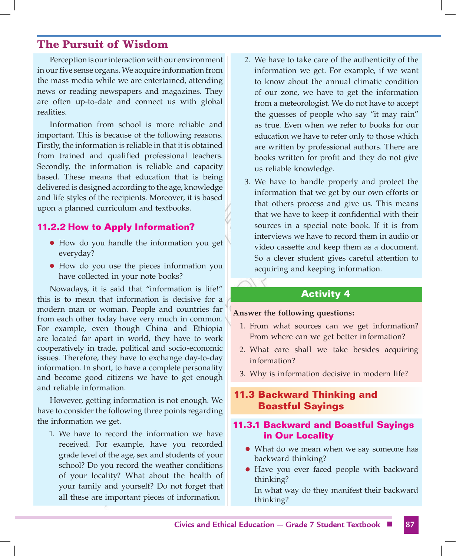Perception is our interaction with our environment in our five sense organs. We acquire information from the mass media while we are entertained, attending news or reading newspapers and magazines. They are often up-to-date and connect us with global realities.

Information from school is more reliable and important. This is because of the following reasons. Firstly, the information is reliable in that it is obtained from trained and qualified professional teachers. Secondly, the information is reliable and capacity based. These means that education that is being delivered is designed according to the age, knowledge and life styles of the recipients. Moreover, it is based upon a planned curriculum and textbooks.

#### **11.2.2 How to Apply Information?**

- How do you handle the information you get everyday?
- How do you use the pieces information you have collected in your note books?

Nowadays, it is said that "information is life!" this is to mean that information is decisive for a modern man or woman. People and countries far from each other today have very much in common. For example, even though China and Ethiopia are located far apart in world, they have to work cooperatively in trade, political and socio-economic issues. Therefore, they have to exchange day-to-day information. In short, to have a complete personality and become good citizens we have to get enough and reliable information.

However, getting information is not enough. We have to consider the following three points regarding the information we get.

1. We have to record the information we have received. For example, have you recorded grade level of the age, sex and students of your school? Do you record the weather conditions of your locality? What about the health of your family and yourself? Do not forget that all these are important pieces of information.

- 2. We have to take care of the authenticity of the information we get. For example, if we want to know about the annual climatic condition of our zone, we have to get the information from a meteorologist. We do not have to accept the guesses of people who say "it may rain" as true. Even when we refer to books for our education we have to refer only to those which are written by professional authors. There are books written for profit and they do not give us reliable knowledge.
- 3. We have to handle properly and protect the information that we get by our own efforts or that others process and give us. This means that we have to keep it confidential with their sources in a special note book. If it is from interviews we have to record them in audio or video cassette and keep them as a document. So a clever student gives careful attention to acquiring and keeping information.

#### **Activity 4**

#### **Answer the following questions:**

- 1. From what sources can we get information? From where can we get better information?
- 2. What care shall we take besides acquiring information?
- 3. Why is information decisive in modern life?

#### **11.3 Backward Thinking and Boastful Sayings**

#### **11.3.1 Backward and Boastful Sayings in Our Locality**

- What do we mean when we say someone has backward thinking?
- Have you ever faced people with backward thinking?

 In what way do they manifest their backward thinking?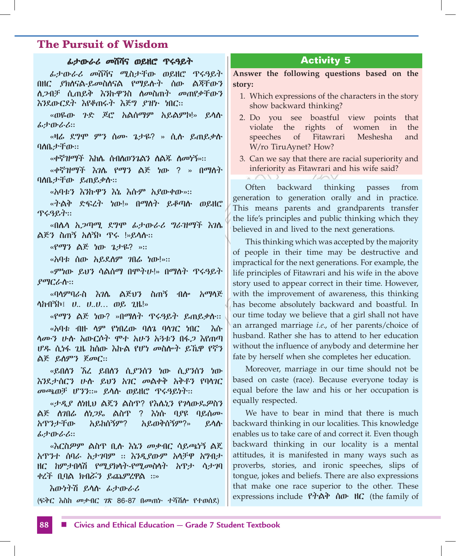#### ፊታውራሪ መሸሻና ወይዘሮ ጥሩዓይት

ፊታውራሪ መሸሻና ሚስታቸው ወይዘሮ ጥሩዓይት በዘር ያክለናል-ይመስለናል የማይሉት ሰው ልጃቸውን ለጋብቻ ሲጠይቅ እንኩዋንስ ለመስጠት መጠየቃቸውን እንደውርደት እየቆጠሩት እጅግ ያዝኑ ነበር።

«ወዬው ጉድ ጆሮ አልሰማም አይልምኮ!» ይላሉ ፊታውራሪ።

«ዛሬ ደግሞ ምን ሰሙ ጌታዬ? » ሲሉ ይጠይቃሉ ባለቤታቸው።

«ቀኛዝማች እከሌ ሰብለወንጌልን ለልጁ ለመነኝ»።

«ቀኛዝማች እገሌ የማን ልጅ ነው ? » በማለት ባለቤታቸው ይጠይቃሉ።

«አባቱን እንኩዋን እኔ እሱም አያውቀው»።

«ትልቅ ድፍረት ነው!» በማለት ይቆጣሉ ወይዘሮ ጥሩዓይት።

«በሌላ አጋጣሚ ደግሞ ፊታውራሪ ግራዝማች እገሌ ልጅን ስጠኝ አለኝኮ ጥሩ !»ይላሉ።

«የማን ልጅ ነው ጌታዬ? »።

«አባቱ ሰው አይደለም ገበሬ ነው!»።

«ምነው ይህን ሳልሰማ በሞትሁ!» በማለት ጥሩዓይት ያማርራሉ።

«ባላምባራስ እገሌ ልጅህን ስጠኝ ብሎ አማላጅ ላከብኝኮ፤ ሀ.. ሀ..ሀ… ወይ ጊዜ!»

«የማን ልጅ ነው? »በማለት ጥሩዓይት ይጠይቃሉ። «አባቱ ብዙ ላም የነበረው ባለጌ ባላገር ነበር እሱ ላሙን ሁሉ አውርሶት ሞተ አሁን አጓቱን በፋጋ እየጠጣ ሆዱ ሲነፋ ጊዜ ከሰው እኩል የሆነ መስሎት ይኼዋ የኛን ልጅ ይለምን ጀመር።

«ይበለን ኧረ ይበለን ሲያንሰን ነው ሲያንሰን ነው እንደታሰርን ሁሉ ይህን አገር መልቀቅ አቅቶን የባላገር መጫወቻ ሆንን።» ይላሉ ወይዘሮ ጥሩዓይነት።

«ታዲያ ለነዚህ ልጄን ልስጥ? የእሌኒን የገላውዴዎስን ልጅ ለገበሬ ለነጋዴ ልስጥ ? እነሱ ባያዩ ባይሰሙ አጥንታቸው አይከሰኝም? አይወቅሰኝም?» ይላሉ ፊታውራሪ።

«እርስዎም ልስጥ ቢሉ እኔን መቃብር ሳይጫነኝ ልጄ አጥንተ ሰባራ አታገባም ። እንዲያውም አላቻዋ አግብታ ዘር ከምታበላሽ የሚያክላት-የሚመስላት አጥታ ሳታገባ ቀረች ቢባል ክብሯን ይጨምረዋል ።»

እውነትሽ ይላሉ ፊታውራሪ (ፍቅር እስከ መቃብር ገጽ 86-87 በመጠኑ ተሻሽሎ የተወሰደ)

#### **Activity 5**

**Answer the following questions based on the story:**

- 1. Which expressions of the characters in the story show backward thinking?
- 2. Do you see boastful view points that violate the rights of women in the speeches of Fitawrari Meshesha and W/ro TiruAynet? How?
- 3. Can we say that there are racial superiority and inferiority as Fitawrari and his wife said?

Often backward thinking passes from generation to generation orally and in practice. This means parents and grandparents transfer the life's principles and public thinking which they believed in and lived to the next generations.

This thinking which was accepted by the majority of people in their time may be destructive and impractical for the next generations. For example, the life principles of Fitawrari and his wife in the above story used to appear correct in their time. However, with the improvement of awareness, this thinking has become absolutely backward and boastful. In our time today we believe that a girl shall not have an arranged marriage *i.e*., of her parents/choice of husband. Rather she has to attend to her education without the influence of anybody and determine her fate by herself when she completes her education.

Moreover, marriage in our time should not be based on caste (race). Because everyone today is equal before the law and his or her occupation is equally respected.

We have to bear in mind that there is much backward thinking in our localities. This knowledge enables us to take care of and correct it. Even though backward thinking in our locality is a mental attitudes, it is manifested in many ways such as proverbs, stories, and ironic speeches, slips of tongue, jokes and beliefs. There are also expressions that make one race superior to the other. These expressions include የትልቅ ሰው ዘር (the family of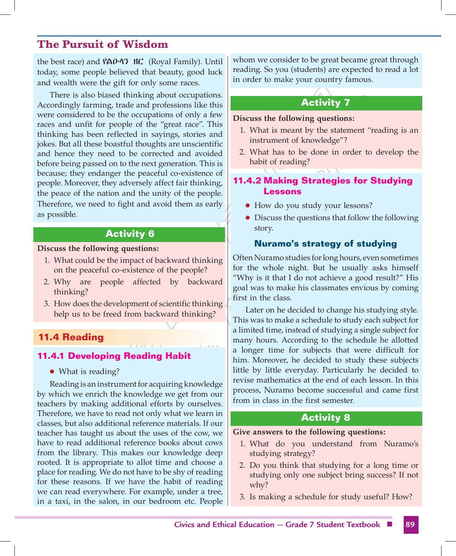the best race) and የልዑላን ዘር (Royal Family). Until today, some people believed that beauty, good luck and wealth were the gift for only some races.

There is also biased thinking about occupations. Accordingly farming, trade and professions like this were considered to be the occupations of only a few races and unfit for people of the "great race". This thinking has been reflected in sayings, stories and jokes. But all these boastful thoughts are unscientific and hence they need to be corrected and avoided before being passed on to the next generation. This is because; they endanger the peaceful co-existence of people. Moreover, they adversely affect fair thinking, the peace of the nation and the unity of the people. Therefore, we need to fight and avoid them as early as possible.

#### **Activity 6**

**Discuss the following questions:**

- 1. What could be the impact of backward thinking on the peaceful co-existence of the people?
- 2. Why are people affected by backward thinking?
- 3. How does the development of scientific thinking help us to be freed from backward thinking?

#### **11.4 Reading**

#### **11.4.1 Developing Reading Habit**

• What is reading?

Reading is an instrument for acquiring knowledge by which we enrich the knowledge we get from our teachers by making additional efforts by ourselves. Therefore, we have to read not only what we learn in classes, but also additional reference materials. If our teacher has taught us about the uses of the cow, we have to read additional reference books about cows from the library. This makes our knowledge deep rooted. It is appropriate to allot time and choose a place for reading. We do not have to be shy of reading for these reasons. If we have the habit of reading we can read everywhere. For example, under a tree, in a taxi, in the salon, in our bedroom etc. People whom we consider to be great became great through reading. So you (students) are expected to read a lot in order to make your country famous.

### **Activity 7**

**Discuss the following questions:**

- 1. What is meant by the statement "reading is an instrument of knowledge"?
- 2. What has to be done in order to develop the habit of reading?

#### **11.4.2 Making Strategies for Studying Lessons**

- How do you study your lessons?
- Discuss the questions that follow the following story.

#### **Nuramo's strategy of studying**

Often Nuramo studies for long hours, even sometimes for the whole night. But he usually asks himself "Why is it that I do not achieve a good result?" His goal was to make his classmates envious by coming first in the class.

Later on he decided to change his studying style. This was to make a schedule to study each subject for a limited time, instead of studying a single subject for many hours. According to the schedule he allotted a longer time for subjects that were difficult for him. Moreover, he decided to study these subjects little by little everyday. Particularly he decided to revise mathematics at the end of each lesson. In this process, Nuramo become successful and came first from in class in the first semester.

#### **Activity 8**

#### **Give answers to the following questions:**

- 1. What do you understand from Nuramo's studying strategy?
- 2. Do you think that studying for a long time or studying only one subject bring success? If not why?
- 3. Is making a schedule for study useful? How?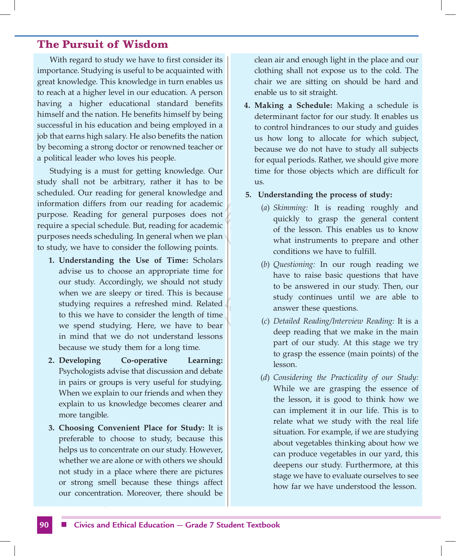With regard to study we have to first consider its importance. Studying is useful to be acquainted with great knowledge. This knowledge in turn enables us to reach at a higher level in our education. A person having a higher educational standard benefits himself and the nation. He benefits himself by being successful in his education and being employed in a job that earns high salary. He also benefits the nation by becoming a strong doctor or renowned teacher or a political leader who loves his people.

Studying is a must for getting knowledge. Our study shall not be arbitrary, rather it has to be scheduled. Our reading for general knowledge and information differs from our reading for academic purpose. Reading for general purposes does not require a special schedule. But, reading for academic purposes needs scheduling. In general when we plan to study, we have to consider the following points.

- **1. Understanding the Use of Time:** Scholars advise us to choose an appropriate time for our study. Accordingly, we should not study when we are sleepy or tired. This is because studying requires a refreshed mind. Related to this we have to consider the length of time we spend studying. Here, we have to bear in mind that we do not understand lessons because we study them for a long time.
- **2. Developing Co-operative Learning:**  Psychologists advise that discussion and debate in pairs or groups is very useful for studying. When we explain to our friends and when they explain to us knowledge becomes clearer and more tangible.
- **3. Choosing Convenient Place for Study:** It is preferable to choose to study, because this helps us to concentrate on our study. However, whether we are alone or with others we should not study in a place where there are pictures or strong smell because these things affect our concentration. Moreover, there should be

clean air and enough light in the place and our clothing shall not expose us to the cold. The chair we are sitting on should be hard and enable us to sit straight.

**4. Making a Schedule:** Making a schedule is determinant factor for our study. It enables us to control hindrances to our study and guides us how long to allocate for which subject, because we do not have to study all subjects for equal periods. Rather, we should give more time for those objects which are difficult for us.

#### **5. Understanding the process of study:**

- (*a*) *Skimming:* It is reading roughly and quickly to grasp the general content of the lesson. This enables us to know what instruments to prepare and other conditions we have to fulfill.
- (*b*) *Questioning:* In our rough reading we have to raise basic questions that have to be answered in our study. Then, our study continues until we are able to answer these questions.
- (*c*) *Detailed Reading/Interview Reading:* It is a deep reading that we make in the main part of our study. At this stage we try to grasp the essence (main points) of the lesson.
- (*d*) *Considering the Practicality of our Study:* While we are grasping the essence of the lesson, it is good to think how we can implement it in our life. This is to relate what we study with the real life situation. For example, if we are studying about vegetables thinking about how we can produce vegetables in our yard, this deepens our study. Furthermore, at this stage we have to evaluate ourselves to see how far we have understood the lesson.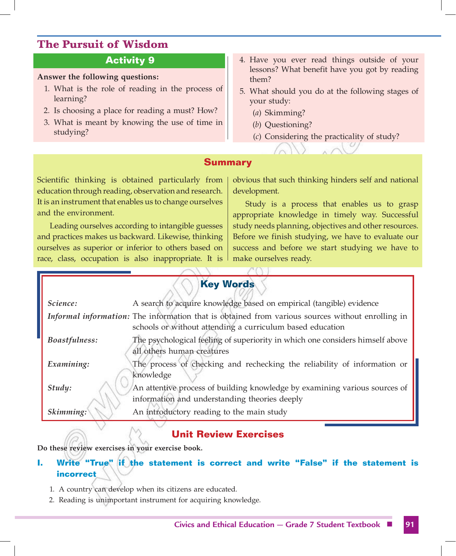#### **Activity 9**

#### **Answer the following questions:**

- 1. What is the role of reading in the process of learning?
- 2. Is choosing a place for reading a must? How?
- 3. What is meant by knowing the use of time in studying?
- 4. Have you ever read things outside of your lessons? What benefit have you got by reading them?
- 5. What should you do at the following stages of your study:
	- (*a*) Skimming?
	- (*b*) Questioning?
	- (*c*) Considering the practicality of study?

#### **Summary**

Scientific thinking is obtained particularly from education through reading, observation and research. It is an instrument that enables us to change ourselves and the environment.

Leading ourselves according to intangible guesses and practices makes us backward. Likewise, thinking ourselves as superior or inferior to others based on race, class, occupation is also inappropriate. It is obvious that such thinking hinders self and national development.

Study is a process that enables us to grasp appropriate knowledge in timely way. Successful study needs planning, objectives and other resources. Before we finish studying, we have to evaluate our success and before we start studying we have to make ourselves ready.

| <b>Key Words</b>     |                                                                                                                                                               |
|----------------------|---------------------------------------------------------------------------------------------------------------------------------------------------------------|
| Science:             | A search to acquire knowledge based on empirical (tangible) evidence                                                                                          |
|                      | Informal information: The information that is obtained from various sources without enrolling in<br>schools or without attending a curriculum based education |
| <b>Boastfulness:</b> | The psychological feeling of superiority in which one considers himself above<br>all others human creatures                                                   |
| Examining:           | The process of checking and rechecking the reliability of information or<br>knowledge                                                                         |
| Study:               | An attentive process of building knowledge by examining various sources of<br>information and understanding theories deeply                                   |
| Skimming:            | An introductory reading to the main study                                                                                                                     |

 $\sqrt{N}$ 

#### **Unit Review Exercises**

**Do these review exercises in your exercise book.**

#### **I. Write "True" if the statement is correct and write "False" if the statement is incorrect**

- 1. A country can develop when its citizens are educated.
- 2. Reading is unimportant instrument for acquiring knowledge.